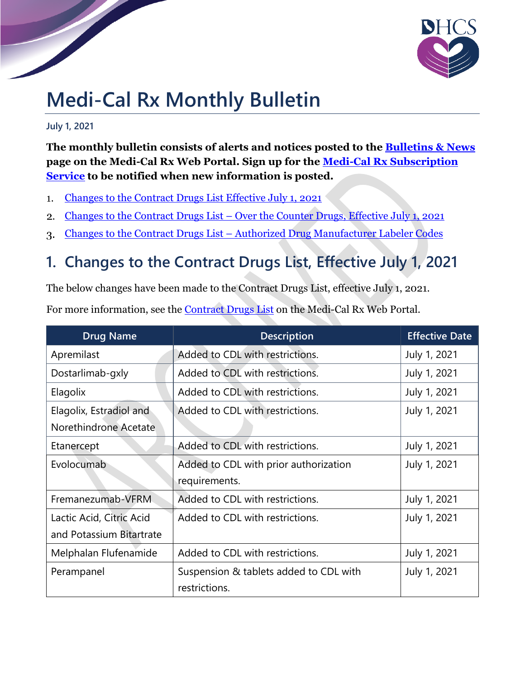

# **Medi-Cal Rx Monthly Bulletin**

**July 1, 2021**

**The monthly bulletin consists of alerts and notices posted to the Bulletins & News page on the Medi-Cal Rx Web Portal. Sign up for the Medi-Cal Rx Subscription Service to be notified when new information is posted.**

- Changes to the Contract Drugs List Effective July 1, 2021  $1.$
- Changes to the Contract Drugs List Over the Counter Drugs, Effective July 1, 2021  $\overline{2}$ .
- Changes to the Contract Drugs List Authorized Drug Manufacturer Labeler Codes 3.

### **1. Changes to the Contract Drugs List, Effective July 1, 2021**

The below changes have been made to the Contract Drugs List, effective July 1, 2021.

For more information, see the Contract Drugs List on the Medi-Cal Rx Web Portal.

| <b>Drug Name</b>         | <b>Description</b>                     | <b>Effective Date</b> |
|--------------------------|----------------------------------------|-----------------------|
| Apremilast               | Added to CDL with restrictions.        | July 1, 2021          |
| Dostarlimab-gxly         | Added to CDL with restrictions.        | July 1, 2021          |
| Elagolix                 | Added to CDL with restrictions.        | July 1, 2021          |
| Elagolix, Estradiol and  | Added to CDL with restrictions.        | July 1, 2021          |
| Norethindrone Acetate    |                                        |                       |
| Etanercept               | Added to CDL with restrictions.        | July 1, 2021          |
| Evolocumab               | Added to CDL with prior authorization  | July 1, 2021          |
|                          | requirements.                          |                       |
| Fremanezumab-VFRM        | Added to CDL with restrictions.        | July 1, 2021          |
| Lactic Acid, Citric Acid | Added to CDL with restrictions.        | July 1, 2021          |
| and Potassium Bitartrate |                                        |                       |
| Melphalan Flufenamide    | Added to CDL with restrictions.        | July 1, 2021          |
| Perampanel               | Suspension & tablets added to CDL with | July 1, 2021          |
|                          | restrictions.                          |                       |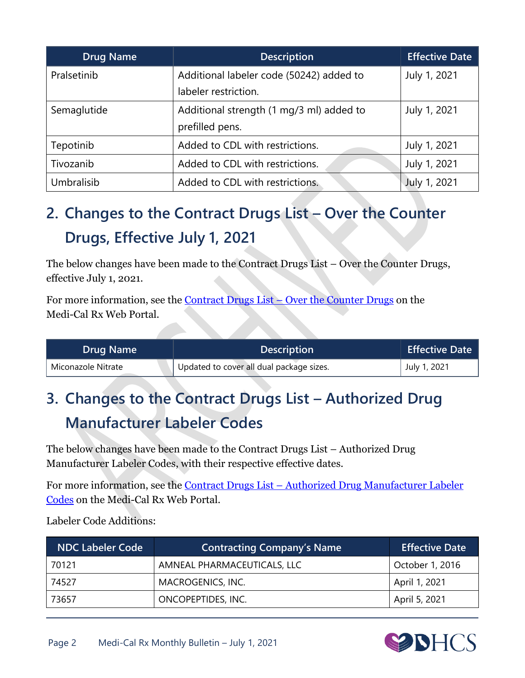| <b>Drug Name</b> | <b>Description</b>                       | <b>Effective Date</b> |
|------------------|------------------------------------------|-----------------------|
| Pralsetinib      | Additional labeler code (50242) added to | July 1, 2021          |
|                  | labeler restriction.                     |                       |
| Semaglutide      | Additional strength (1 mg/3 ml) added to | July 1, 2021          |
|                  | prefilled pens.                          |                       |
| Tepotinib        | Added to CDL with restrictions.          | July 1, 2021          |
| Tivozanib        | Added to CDL with restrictions.          | July 1, 2021          |
| Umbralisib       | Added to CDL with restrictions.          | July 1, 2021          |

# **2. Changes to the Contract Drugs List – Over the Counter Drugs, Effective July 1, 2021**

The below changes have been made to the Contract Drugs List – Over the Counter Drugs, effective July 1, 2021.

For more information, see the Contract Drugs List – [Over the Counter Drugs](https://www.medi-calrx.dhcs.ca.gov/cms/medicalrx/static-assets/documents/provider/forms-and-information/cdl/Medi-Cal_Rx_Contract_Drugs_List_OTC_FINAL.pdf) on the Medi-Cal Rx Web Portal.

| <b>Drug Name</b>   | <b>Description</b>                       | <b>Effective Date</b> |
|--------------------|------------------------------------------|-----------------------|
| Miconazole Nitrate | Updated to cover all dual package sizes. | July 1, 2021          |

## **3. Changes to the Contract Drugs List – Authorized Drug Manufacturer Labeler Codes**

The below changes have been made to the Contract Drugs List – Authorized Drug Manufacturer Labeler Codes, with their respective effective dates.

For more information, see the [Contract Drugs List](https://medi-calrx.dhcs.ca.gov/cms/medicalrx/static-assets/documents/provider/forms-and-information/cdl/Medi-Cal_Rx_CDL_Authorized_Drug_Manufacturer_Labeler_Codes_FINAL.pdf) – Authorized Drug Manufacturer Labeler Codes on the Medi-Cal Rx Web Portal.

Labeler Code Additions:

| NDC Labeler Code | <b>Contracting Company's Name</b> | <b>Effective Date</b> |
|------------------|-----------------------------------|-----------------------|
| 70121            | AMNEAL PHARMACEUTICALS, LLC       | October 1, 2016       |
| 74527            | MACROGENICS, INC.                 | April 1, 2021         |
| 73657            | ONCOPEPTIDES, INC.                | April 5, 2021         |